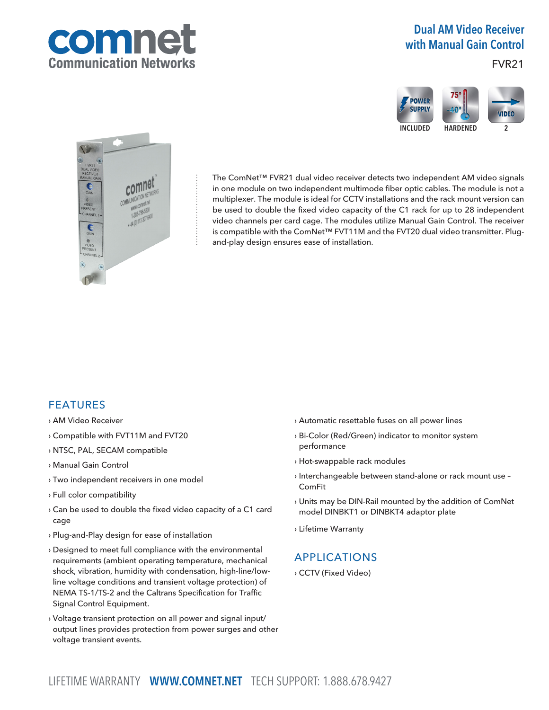

# Dual AM Video Receiver with Manual Gain Control

### FVR21





The ComNet™ FVR21 dual video receiver detects two independent AM video signals in one module on two independent multimode fiber optic cables. The module is not a multiplexer. The module is ideal for CCTV installations and the rack mount version can be used to double the fixed video capacity of the C1 rack for up to 28 independent video channels per card cage. The modules utilize Manual Gain Control. The receiver is compatible with the ComNet™ FVT11M and the FVT20 dual video transmitter. Plugand-play design ensures ease of installation.

### FEATURES

- › AM Video Receiver
- › Compatible with FVT11M and FVT20
- › NTSC, PAL, SECAM compatible
- › Manual Gain Control
- › Two independent receivers in one model
- › Full color compatibility
- › Can be used to double the fixed video capacity of a C1 card cage
- › Plug-and-Play design for ease of installation
- › Designed to meet full compliance with the environmental requirements (ambient operating temperature, mechanical shock, vibration, humidity with condensation, high-line/lowline voltage conditions and transient voltage protection) of NEMA TS-1/TS-2 and the Caltrans Specification for Traffic Signal Control Equipment.
- › Voltage transient protection on all power and signal input/ output lines provides protection from power surges and other voltage transient events.
- › Automatic resettable fuses on all power lines
- › Bi-Color (Red/Green) indicator to monitor system performance
- › Hot-swappable rack modules
- › Interchangeable between stand-alone or rack mount use ComFit
- › Units may be DIN-Rail mounted by the addition of ComNet model DINBKT1 or DINBKT4 adaptor plate
- › Lifetime Warranty

## APPLICATIONS

› CCTV (Fixed Video)